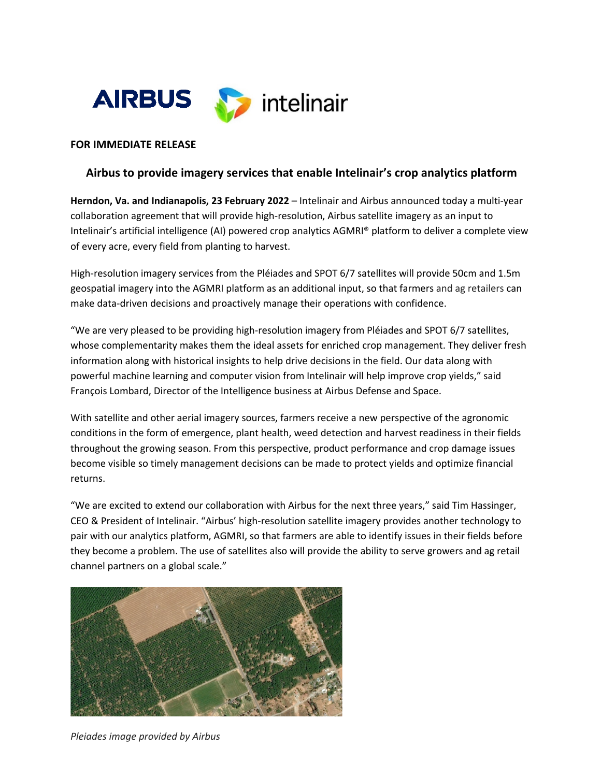

## **FOR IMMEDIATE RELEASE**

# **Airbus to provide imagery services that enable Intelinair's crop analytics platform**

**Herndon, Va. and Indianapolis, 23 February 2022** – Intelinair and Airbus announced today a multi-year collaboration agreement that will provide high-resolution, Airbus satellite imagery as an input to Intelinair's artificial intelligence (AI) powered crop analytics AGMRI® platform to deliver a complete view of every acre, every field from planting to harvest.

High-resolution imagery services from the Pléiades and SPOT 6/7 satellites will provide 50cm and 1.5m geospatial imagery into the AGMRI platform as an additional input, so that farmers and ag retailers can make data-driven decisions and proactively manage their operations with confidence.

"We are very pleased to be providing high-resolution imagery from Pléiades and SPOT 6/7 satellites, whose complementarity makes them the ideal assets for enriched crop management. They deliver fresh information along with historical insights to help drive decisions in the field. Our data along with powerful machine learning and computer vision from Intelinair will help improve crop yields," said François Lombard, Director of the Intelligence business at Airbus Defense and Space.

With satellite and other aerial imagery sources, farmers receive a new perspective of the agronomic conditions in the form of emergence, plant health, weed detection and harvest readiness in their fields throughout the growing season. From this perspective, product performance and crop damage issues become visible so timely management decisions can be made to protect yields and optimize financial returns.

"We are excited to extend our collaboration with Airbus for the next three years," said Tim Hassinger, CEO & President of Intelinair. "Airbus' high-resolution satellite imagery provides another technology to pair with our analytics platform, AGMRI, so that farmers are able to identify issues in their fields before they become a problem. The use of satellites also will provide the ability to serve growers and ag retail channel partners on a global scale."



*Pleiades image provided by Airbus*